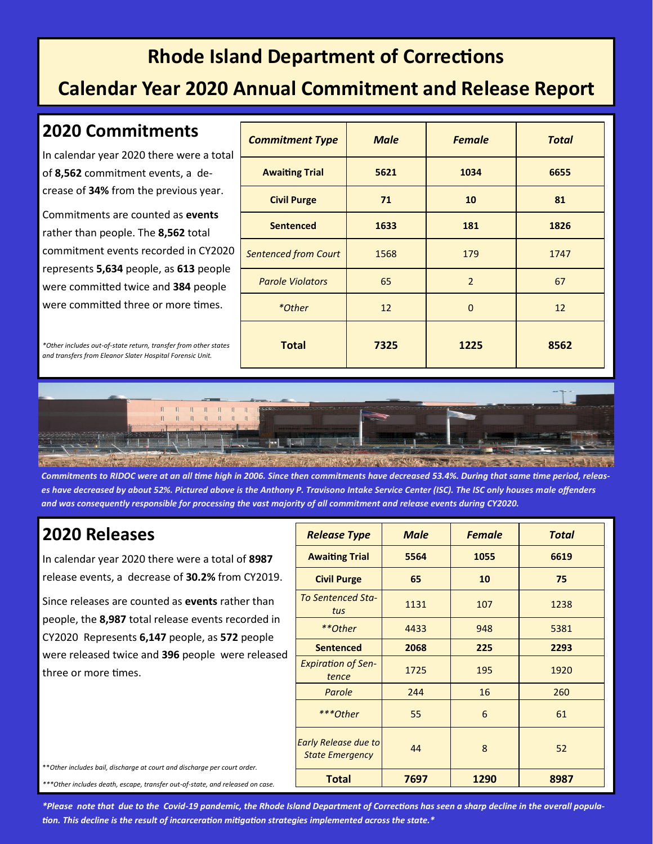## **Rhode Island Department of Corrections**

### **Calendar Year 2020 Annual Commitment and Release Report**

#### **2020 Commitments**

In calendar year 2020 there were a total of **8,562** commitment events, a decrease of **34%** from the previous year.

Commitments are counted as **events** rather than people. The **8,562** total commitment events recorded in CY2020 represents **5,634** people, as **613** people were committed twice and **384** people were committed three or more times.

*\*Other includes out-of-state return, transfer from other states and transfers from Eleanor Slater Hospital Forensic Unit.*

| <b>Commitment Type</b>      | <b>Male</b> | <b>Female</b>  | <b>Total</b> |
|-----------------------------|-------------|----------------|--------------|
| <b>Awaiting Trial</b>       | 5621        | 1034           | 6655         |
| <b>Civil Purge</b>          | 71          | 10             | 81           |
| <b>Sentenced</b>            | 1633        | 181            | 1826         |
| <b>Sentenced from Court</b> | 1568        | 179            | 1747         |
| <b>Parole Violators</b>     | 65          | $\overline{2}$ | 67           |
| *Other                      | 12          | $\Omega$       | 12           |
| <b>Total</b>                | 7325        | 1225           | 8562         |



*Commitments to RIDOC were at an all time high in 2006. Since then commitments have decreased 53.4%. During that same time period, releases have decreased by about 52%. Pictured above is the Anthony P. Travisono Intake Service Center (ISC). The ISC only houses male offenders and was consequently responsible for processing the vast majority of all commitment and release events during CY2020.* 

#### **2020 Releases**

In calendar year 2020 there were a total of **8987** release events, a decrease of **30.2%** from CY2019.

Since releases are counted as **events** rather than people, the **8,987** total release events recorded in CY2020 Represents **6,147** people, as **572** people were released twice and **396** people were released three or more times.

| <b>Release Type</b>                                   | <b>Male</b> | <b>Female</b> | <b>Total</b> |
|-------------------------------------------------------|-------------|---------------|--------------|
| <b>Awaiting Trial</b>                                 | 5564        | 1055          | 6619         |
| <b>Civil Purge</b>                                    | 65          | 10            | 75           |
| <b>To Sentenced Sta-</b><br>tus                       | 1131        | 107           | 1238         |
| **Other                                               | 4433        | 948           | 5381         |
| <b>Sentenced</b>                                      | 2068        | 225           | 2293         |
| <b>Expiration of Sen-</b><br>tence                    | 1725        | 195           | 1920         |
| Parole                                                | 244         | 16            | 260          |
| ***Other                                              | 55          | 6             | 61           |
| <b>Early Release due to</b><br><b>State Emergency</b> | 44          | 8             | 52           |
| <b>Total</b>                                          | 7697        | 1290          | 8987         |

\*\**Other includes bail, discharge at court and discharge per court order.*

*\*\*\*Other includes death, escape, transfer out-of-state, and released on case.*

*\*Please note that due to the Covid-19 pandemic, the Rhode Island Department of Corrections has seen a sharp decline in the overall population. This decline is the result of incarceration mitigation strategies implemented across the state.\**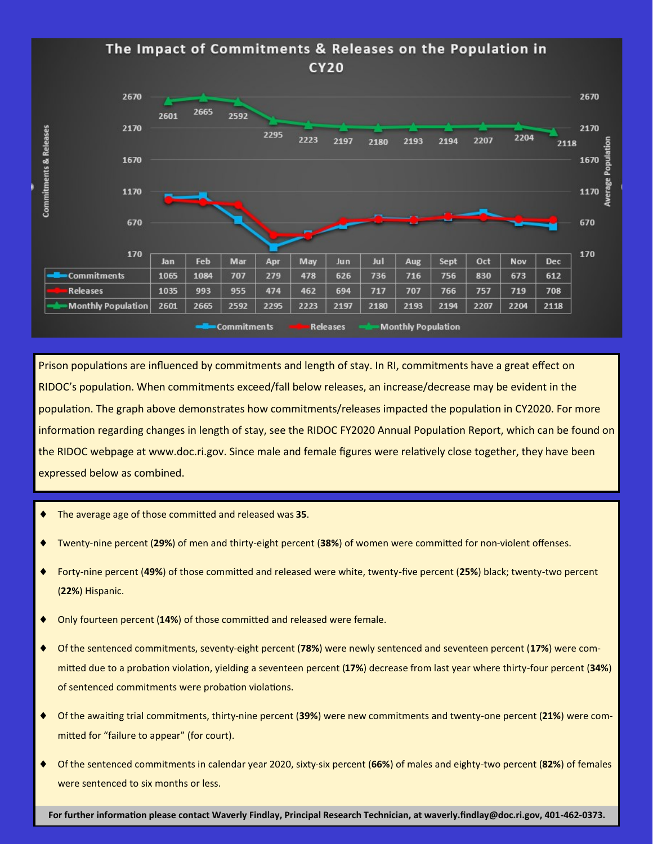

Prison populations are influenced by commitments and length of stay. In RI, commitments have a great effect on RIDOC's population. When commitments exceed/fall below releases, an increase/decrease may be evident in the population. The graph above demonstrates how commitments/releases impacted the population in CY2020. For more information regarding changes in length of stay, see the RIDOC FY2020 Annual Population Report, which can be found on the RIDOC webpage at www.doc.ri.gov. Since male and female figures were relatively close together, they have been expressed below as combined.

- The average age of those committed and released was **35**.
- Twenty-nine percent (**29%**) of men and thirty-eight percent (**38%**) of women were committed for non-violent offenses.
- Forty-nine percent (**49%**) of those committed and released were white, twenty-five percent (**25%**) black; twenty-two percent (**22%**) Hispanic.
- Only fourteen percent (**14%**) of those committed and released were female.
- Of the sentenced commitments, seventy-eight percent (**78%**) were newly sentenced and seventeen percent (**17%**) were committed due to a probation violation, yielding a seventeen percent (**17%**) decrease from last year where thirty-four percent (**34%**) of sentenced commitments were probation violations.
- Of the awaiting trial commitments, thirty-nine percent (**39%**) were new commitments and twenty-one percent (**21%**) were committed for "failure to appear" (for court).
- Of the sentenced commitments in calendar year 2020, sixty-six percent (**66%**) of males and eighty-two percent (**82%**) of females were sentenced to six months or less.

**For further information please contact Waverly Findlay, Principal Research Technician, at waverly.findlay@doc.ri.gov, 401-462-0373.**